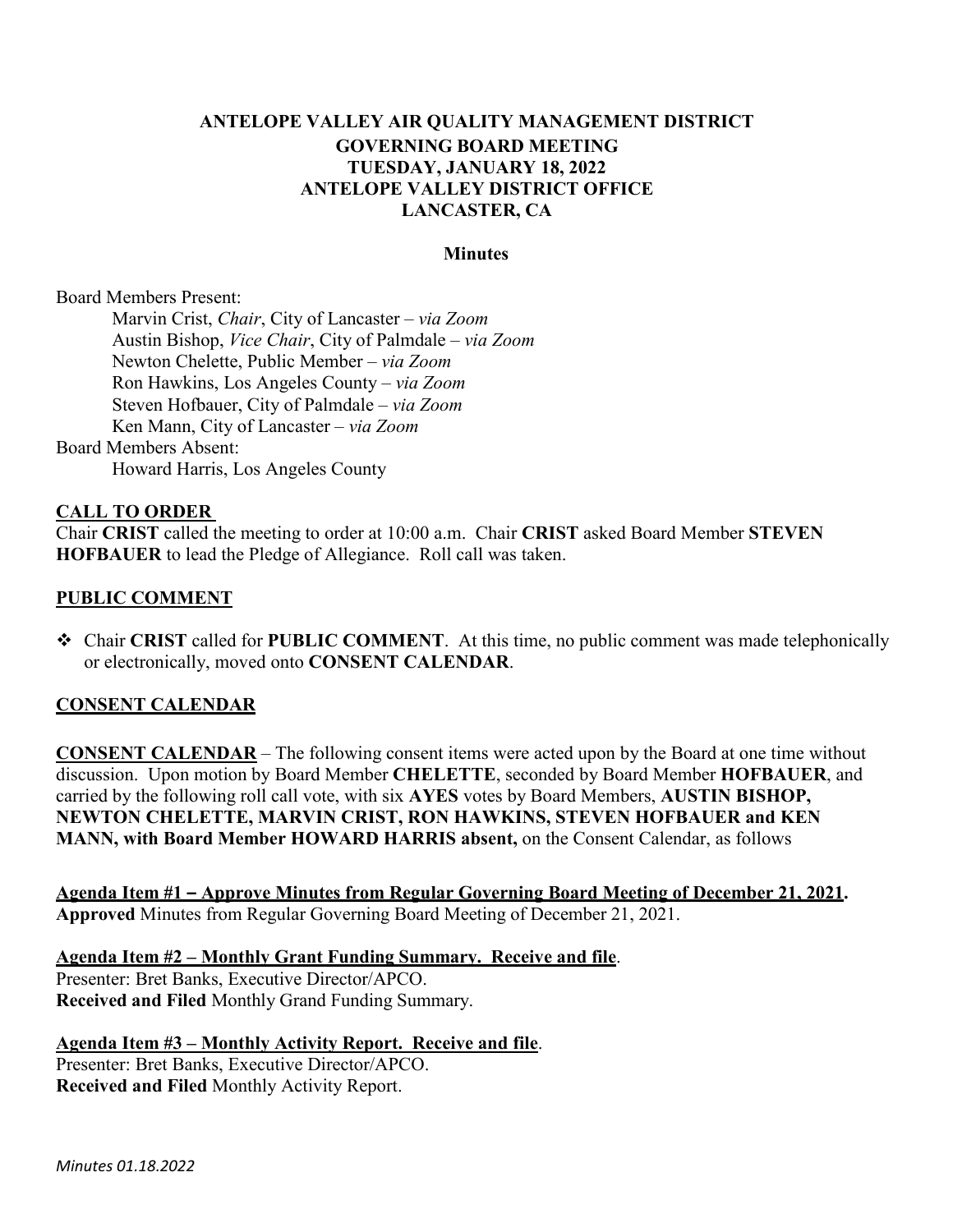### **ANTELOPE VALLEY AIR QUALITY MANAGEMENT DISTRICT GOVERNING BOARD MEETING TUESDAY, JANUARY 18, 2022 ANTELOPE VALLEY DISTRICT OFFICE LANCASTER, CA**

### **Minutes**

Board Members Present:

Marvin Crist, *Chair*, City of Lancaster – *via Zoom* Austin Bishop, *Vice Chair*, City of Palmdale – *via Zoom* Newton Chelette, Public Member – *via Zoom* Ron Hawkins, Los Angeles County – *via Zoom* Steven Hofbauer, City of Palmdale – *via Zoom* Ken Mann, City of Lancaster – *via Zoom*

Board Members Absent: Howard Harris, Los Angeles County

### **CALL TO ORDER**

Chair **CRIST** called the meeting to order at 10:00 a.m. Chair **CRIST** asked Board Member **STEVEN HOFBAUER** to lead the Pledge of Allegiance. Roll call was taken.

### **PUBLIC COMMENT**

 Chair **CRIST** called for **PUBLIC COMMENT**. At this time, no public comment was made telephonically or electronically, moved onto **CONSENT CALENDAR**.

#### **CONSENT CALENDAR**

**CONSENT CALENDAR** – The following consent items were acted upon by the Board at one time without discussion. Upon motion by Board Member **CHELETTE**, seconded by Board Member **HOFBAUER**, and carried by the following roll call vote, with six **AYES** votes by Board Members, **AUSTIN BISHOP, NEWTON CHELETTE, MARVIN CRIST, RON HAWKINS, STEVEN HOFBAUER and KEN MANN, with Board Member HOWARD HARRIS absent,** on the Consent Calendar, as follows

**Agenda Item #1 – Approve Minutes from Regular Governing Board Meeting of December 21, 2021. Approved** Minutes from Regular Governing Board Meeting of December 21, 2021.

**Agenda Item #2 – Monthly Grant Funding Summary. Receive and file**. Presenter: Bret Banks, Executive Director/APCO. **Received and Filed** Monthly Grand Funding Summary.

**Agenda Item #3 – Monthly Activity Report. Receive and file**. Presenter: Bret Banks, Executive Director/APCO. **Received and Filed** Monthly Activity Report.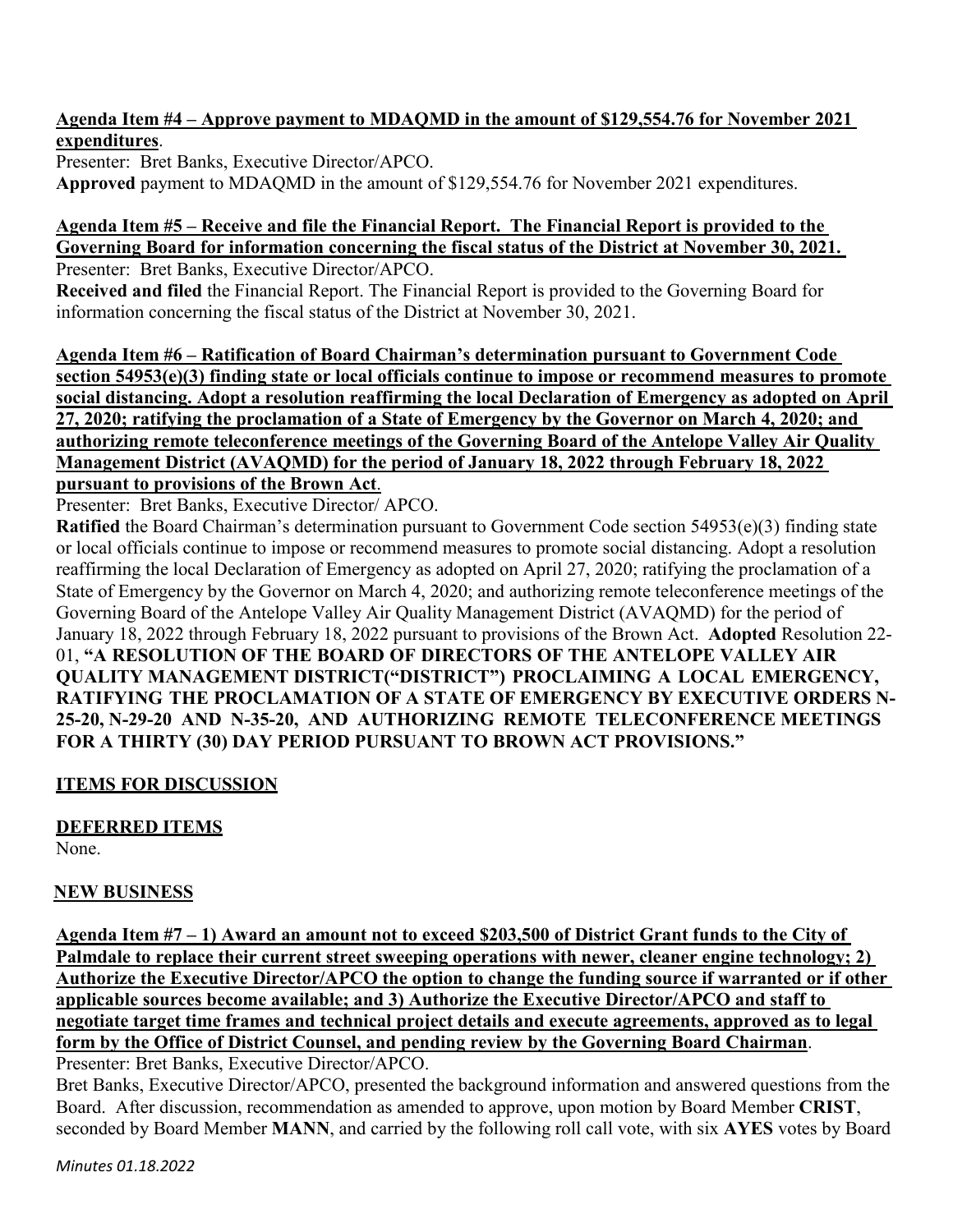## **Agenda Item #4 – Approve payment to MDAQMD in the amount of \$129,554.76 for November 2021 expenditures**.

Presenter: Bret Banks, Executive Director/APCO. **Approved** payment to MDAQMD in the amount of \$129,554.76 for November 2021 expenditures.

## **Agenda Item #5 – Receive and file the Financial Report. The Financial Report is provided to the Governing Board for information concerning the fiscal status of the District at November 30, 2021.**

Presenter: Bret Banks, Executive Director/APCO.

**Received and filed** the Financial Report. The Financial Report is provided to the Governing Board for information concerning the fiscal status of the District at November 30, 2021.

**Agenda Item #6 – Ratification of Board Chairman's determination pursuant to Government Code section 54953(e)(3) finding state or local officials continue to impose or recommend measures to promote social distancing. Adopt a resolution reaffirming the local Declaration of Emergency as adopted on April 27, 2020; ratifying the proclamation of a State of Emergency by the Governor on March 4, 2020; and authorizing remote teleconference meetings of the Governing Board of the Antelope Valley Air Quality Management District (AVAQMD) for the period of January 18, 2022 through February 18, 2022 pursuant to provisions of the Brown Act**.

Presenter: Bret Banks, Executive Director/ APCO.

**Ratified** the Board Chairman's determination pursuant to Government Code section 54953(e)(3) finding state or local officials continue to impose or recommend measures to promote social distancing. Adopt a resolution reaffirming the local Declaration of Emergency as adopted on April 27, 2020; ratifying the proclamation of a State of Emergency by the Governor on March 4, 2020; and authorizing remote teleconference meetings of the Governing Board of the Antelope Valley Air Quality Management District (AVAQMD) for the period of January 18, 2022 through February 18, 2022 pursuant to provisions of the Brown Act. **Adopted** Resolution 22- 01, **"A RESOLUTION OF THE BOARD OF DIRECTORS OF THE ANTELOPE VALLEY AIR QUALITY MANAGEMENT DISTRICT("DISTRICT") PROCLAIMING A LOCAL EMERGENCY, RATIFYING THE PROCLAMATION OF A STATE OF EMERGENCY BY EXECUTIVE ORDERS N-25-20, N-29-20 AND N-35-20, AND AUTHORIZING REMOTE TELECONFERENCE MEETINGS FOR A THIRTY (30) DAY PERIOD PURSUANT TO BROWN ACT PROVISIONS."**

# **ITEMS FOR DISCUSSION**

# **DEFERRED ITEMS**

None.

# **NEW BUSINESS**

**Agenda Item #7 – 1) Award an amount not to exceed \$203,500 of District Grant funds to the City of Palmdale to replace their current street sweeping operations with newer, cleaner engine technology; 2) Authorize the Executive Director/APCO the option to change the funding source if warranted or if other applicable sources become available; and 3) Authorize the Executive Director/APCO and staff to negotiate target time frames and technical project details and execute agreements, approved as to legal form by the Office of District Counsel, and pending review by the Governing Board Chairman**. Presenter: Bret Banks, Executive Director/APCO.

Bret Banks, Executive Director/APCO, presented the background information and answered questions from the Board. After discussion, recommendation as amended to approve, upon motion by Board Member **CRIST**, seconded by Board Member **MANN**, and carried by the following roll call vote, with six **AYES** votes by Board

*Minutes 01.18.2022*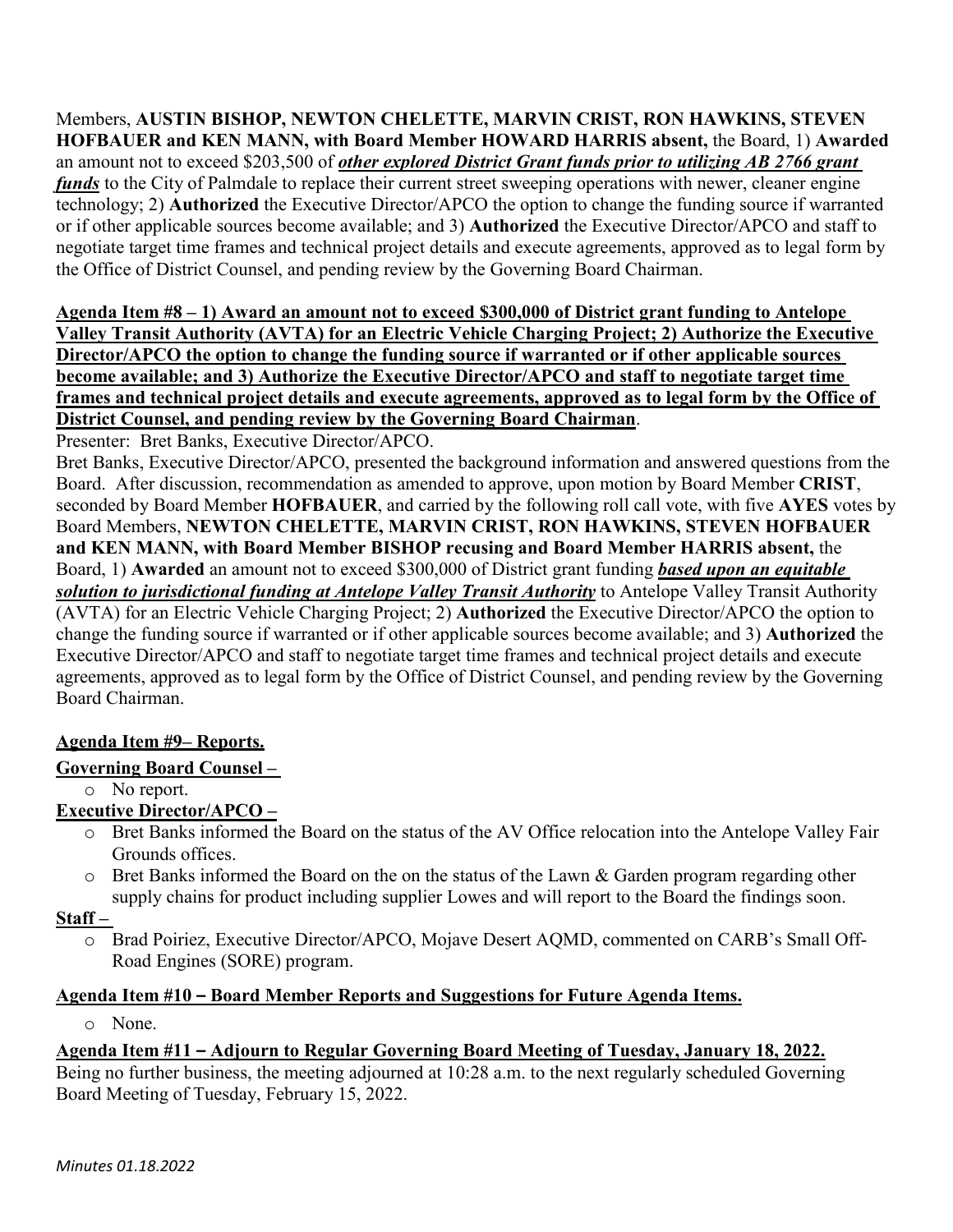Members, **AUSTIN BISHOP, NEWTON CHELETTE, MARVIN CRIST, RON HAWKINS, STEVEN HOFBAUER and KEN MANN, with Board Member HOWARD HARRIS absent,** the Board, 1) **Awarded** an amount not to exceed \$203,500 of *other explored District Grant funds prior to utilizing AB 2766 grant funds* to the City of Palmdale to replace their current street sweeping operations with newer, cleaner engine technology; 2) **Authorized** the Executive Director/APCO the option to change the funding source if warranted or if other applicable sources become available; and 3) **Authorized** the Executive Director/APCO and staff to negotiate target time frames and technical project details and execute agreements, approved as to legal form by the Office of District Counsel, and pending review by the Governing Board Chairman.

**Agenda Item #8 – 1) Award an amount not to exceed \$300,000 of District grant funding to Antelope Valley Transit Authority (AVTA) for an Electric Vehicle Charging Project; 2) Authorize the Executive Director/APCO the option to change the funding source if warranted or if other applicable sources become available; and 3) Authorize the Executive Director/APCO and staff to negotiate target time frames and technical project details and execute agreements, approved as to legal form by the Office of District Counsel, and pending review by the Governing Board Chairman**.

Presenter: Bret Banks, Executive Director/APCO.

Bret Banks, Executive Director/APCO, presented the background information and answered questions from the Board. After discussion, recommendation as amended to approve, upon motion by Board Member **CRIST**, seconded by Board Member **HOFBAUER**, and carried by the following roll call vote, with five **AYES** votes by Board Members, **NEWTON CHELETTE, MARVIN CRIST, RON HAWKINS, STEVEN HOFBAUER and KEN MANN, with Board Member BISHOP recusing and Board Member HARRIS absent,** the Board, 1) **Awarded** an amount not to exceed \$300,000 of District grant funding *based upon an equitable solution to jurisdictional funding at Antelope Valley Transit Authority* to Antelope Valley Transit Authority (AVTA) for an Electric Vehicle Charging Project; 2) **Authorized** the Executive Director/APCO the option to change the funding source if warranted or if other applicable sources become available; and 3) **Authorized** the Executive Director/APCO and staff to negotiate target time frames and technical project details and execute agreements, approved as to legal form by the Office of District Counsel, and pending review by the Governing Board Chairman.

### **Agenda Item #9– Reports.**

### **Governing Board Counsel –**

o No report.

### **Executive Director/APCO –**

- o Bret Banks informed the Board on the status of the AV Office relocation into the Antelope Valley Fair Grounds offices.
- o Bret Banks informed the Board on the on the status of the Lawn & Garden program regarding other supply chains for product including supplier Lowes and will report to the Board the findings soon.

### **Staff –**

o Brad Poiriez, Executive Director/APCO, Mojave Desert AQMD, commented on CARB's Small Off-Road Engines (SORE) program.

# **Agenda Item #10 – Board Member Reports and Suggestions for Future Agenda Items.**

o None.

### **Agenda Item #11 – Adjourn to Regular Governing Board Meeting of Tuesday, January 18, 2022.**

Being no further business, the meeting adjourned at 10:28 a.m. to the next regularly scheduled Governing Board Meeting of Tuesday, February 15, 2022.